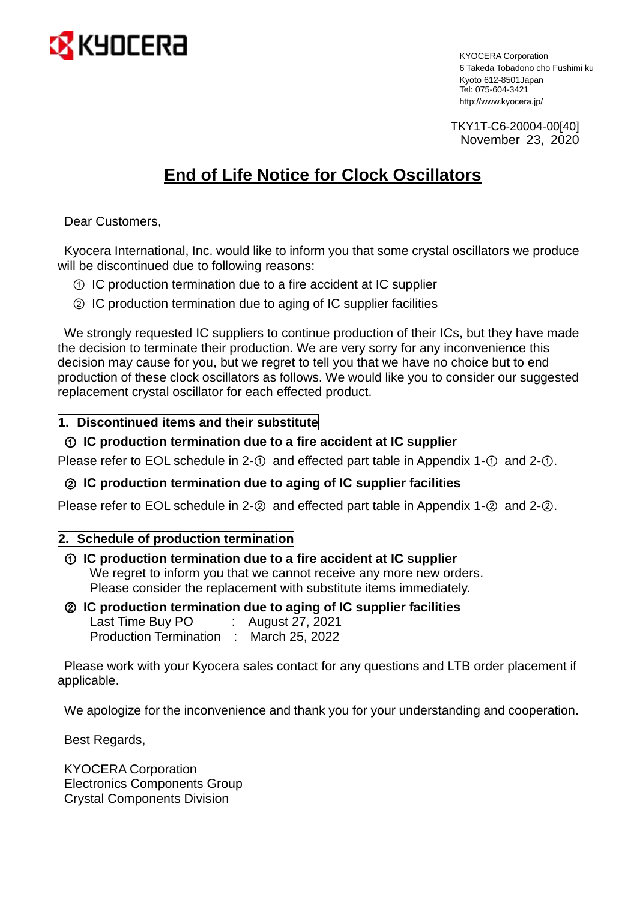

KYOCERA Corporation 6 Takeda Tobadono cho Fushimi ku Kyoto 612-8501 Japan Tel: 075-604-3421 http://www.kyocera.jp/

TKY1T-C6-20004-00[40] November 23, 2020

# **End of Life Notice for Clock Oscillators**

Dear Customers,

Kyocera International, Inc. would like to inform you that some crystal oscillators we produce will be discontinued due to following reasons:

- ① IC production termination due to a fire accident at IC supplier
- ② IC production termination due to aging of IC supplier facilities

We strongly requested IC suppliers to continue production of their ICs, but they have made the decision to terminate their production. We are very sorry for any inconvenience this decision may cause for you, but we regret to tell you that we have no choice but to end production of these clock oscillators as follows. We would like you to consider our suggested replacement crystal oscillator for each effected product.

## **1. Discontinued items and their substitute**

## ① **IC production termination due to a fire accident at IC supplier**

Please refer to EOL schedule in 2-① and effected part table in Appendix 1-① and 2-①.

## ② **IC production termination due to aging of IC supplier facilities**

Please refer to EOL schedule in 2-② and effected part table in Appendix 1-② and 2-②.

## **2. Schedule of production termination**

- ① **IC production termination due to a fire accident at IC supplier** We regret to inform you that we cannot receive any more new orders. Please consider the replacement with substitute items immediately.
- ② **IC production termination due to aging of IC supplier facilities**

Last Time Buy PO : August 27, 2021 Production Termination : March 25, 2022

Please work with your Kyocera sales contact for any questions and LTB order placement if applicable.

We apologize for the inconvenience and thank you for your understanding and cooperation.

Best Regards,

KYOCERA Corporation Electronics Components Group Crystal Components Division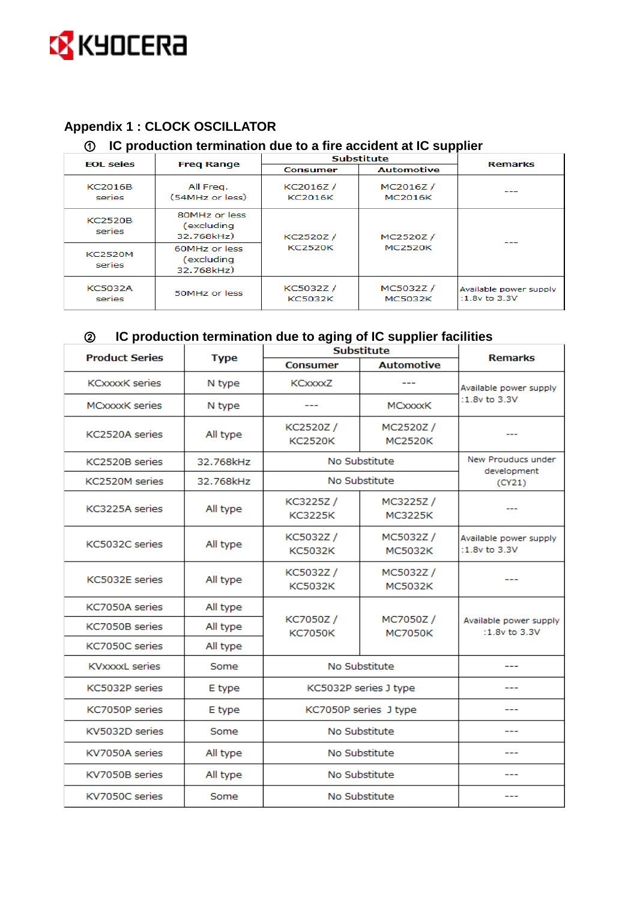

# **Appendix 1 : CLOCK OSCILLATOR**

## **IC production termination due to a fire accident at IC supplier**

| <b>EOL</b> seies         | <b>Freg Range</b>                         | <b>Substitute</b>           |                             | <b>Remarks</b>                              |
|--------------------------|-------------------------------------------|-----------------------------|-----------------------------|---------------------------------------------|
|                          |                                           | <b>Consumer</b>             | <b>Automotive</b>           |                                             |
| <b>KC2016B</b><br>series | All Freq.<br>(54MHz or less)              | KC2016Z /<br><b>KC2016K</b> | MC2016Z /<br><b>MC2016K</b> |                                             |
| <b>KC2520B</b><br>series | 80MHz or less<br>(excluding<br>32.768kHz) | KC2520Z /<br><b>KC2520K</b> | MC2520Z /<br><b>MC2520K</b> |                                             |
| <b>KC2520M</b><br>series | 60MHz or less<br>(excluding<br>32.768kHz) |                             |                             |                                             |
| <b>KC5032A</b><br>series | 50MHz or less                             | KC5032Z /<br><b>KC5032K</b> | MC5032Z /<br><b>MC5032K</b> | Available power supply<br>$:1.8v$ to $3.3V$ |

# **IC production termination due to aging of IC supplier facilities**

| <b>Product Series</b> | <b>Type</b>                     | <b>Substitute</b>          |                            | <b>Remarks</b>                              |  |
|-----------------------|---------------------------------|----------------------------|----------------------------|---------------------------------------------|--|
|                       |                                 | <b>Consumer</b>            | <b>Automotive</b>          |                                             |  |
| <b>KCxxxxK</b> series | N type                          | KCxxxxZ                    |                            | Available power supply                      |  |
| <b>MCxxxxK</b> series | N type                          |                            | MCxxxxK                    | $:1.8v$ to $3.3V$                           |  |
| KC2520A series        | All type                        | KC2520Z/<br><b>KC2520K</b> | MC2520Z/<br><b>MC2520K</b> |                                             |  |
| KC2520B series        | 32.768kHz                       | No Substitute              |                            | New Prouducs under                          |  |
| KC2520M series        | 32.768kHz                       |                            | No Substitute              | development<br>(CY21)                       |  |
| KC3225A series        | All type                        | KC3225Z/<br><b>KC3225K</b> | MC3225Z/<br><b>MC3225K</b> |                                             |  |
| KC5032C series        | All type                        | KC5032Z/<br><b>KC5032K</b> | MC5032Z/<br><b>MC5032K</b> | Available power supply<br>$:1.8v$ to $3.3V$ |  |
| KC5032E series        | All type                        | KC5032Z/<br><b>KC5032K</b> | MC5032Z/<br><b>MC5032K</b> |                                             |  |
| KC7050A series        | All type                        | KC7050Z/<br><b>KC7050K</b> | MC7050Z/<br><b>MC7050K</b> | Available power supply<br>:1.8 $v$ to 3.3V  |  |
| KC7050B series        | All type                        |                            |                            |                                             |  |
| KC7050C series        | All type                        |                            |                            |                                             |  |
| <b>KVxxxxL</b> series | Some                            | No Substitute              |                            |                                             |  |
| KC5032P series        | KC5032P series J type<br>E type |                            |                            |                                             |  |
| KC7050P series        | E type                          | KC7050P series J type      |                            |                                             |  |
| KV5032D series        | Some                            | No Substitute              |                            | ---                                         |  |
| KV7050A series        | All type                        | No Substitute              |                            |                                             |  |
| KV7050B series        | All type                        | No Substitute              |                            |                                             |  |
| KV7050C series        | Some                            |                            | No Substitute              |                                             |  |